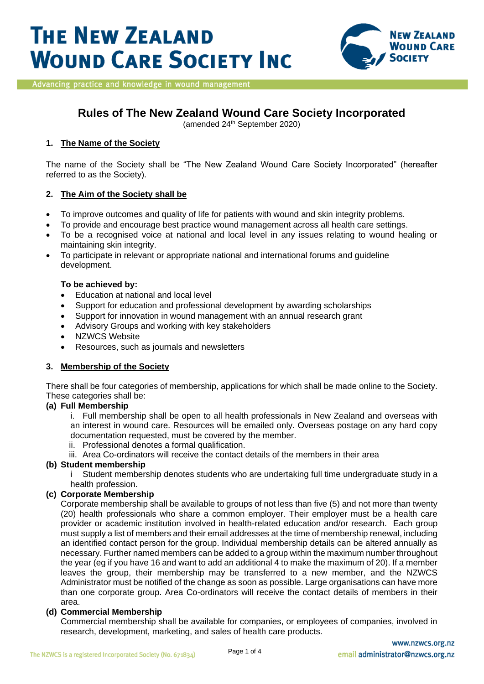

Advancing practice and knowledge in wound management

# **Rules of The New Zealand Wound Care Society Incorporated**

(amended 24th September 2020)

# **1. The Name of the Society**

The name of the Society shall be "The New Zealand Wound Care Society Incorporated" (hereafter referred to as the Society).

# **2. The Aim of the Society shall be**

- To improve outcomes and quality of life for patients with wound and skin integrity problems.
- To provide and encourage best practice wound management across all health care settings.
- To be a recognised voice at national and local level in any issues relating to wound healing or maintaining skin integrity.
- To participate in relevant or appropriate national and international forums and guideline development.

### **To be achieved by:**

- Education at national and local level
- Support for education and professional development by awarding scholarships
- Support for innovation in wound management with an annual research grant
- Advisory Groups and working with key stakeholders<br>• NZWCS Website
- **NZWCS Website**
- Resources, such as journals and newsletters

# **3. Membership of the Society**

There shall be four categories of membership, applications for which shall be made online to the Society. These categories shall be:

#### **(a) Full Membership**

i. Full membership shall be open to all health professionals in New Zealand and overseas with an interest in wound care. Resources will be emailed only. Overseas postage on any hard copy documentation requested, must be covered by the member.

- ii. Professional denotes a formal qualification.
- iii. Area Co-ordinators will receive the contact details of the members in their area

# **(b) Student membership**

i Student membership denotes students who are undertaking full time undergraduate study in a health profession.

### **(c) Corporate Membership**

Corporate membership shall be available to groups of not less than five (5) and not more than twenty (20) health professionals who share a common employer. Their employer must be a health care provider or academic institution involved in health-related education and/or research. Each group must supply a list of members and their email addresses at the time of membership renewal, including an identified contact person for the group. Individual membership details can be altered annually as necessary. Further named members can be added to a group within the maximum number throughout the year (eg if you have 16 and want to add an additional 4 to make the maximum of 20). If a member leaves the group, their membership may be transferred to a new member, and the NZWCS Administrator must be notified of the change as soon as possible. Large organisations can have more than one corporate group. Area Co-ordinators will receive the contact details of members in their area.

# **(d) Commercial Membership**

Commercial membership shall be available for companies, or employees of companies, involved in research, development, marketing, and sales of health care products.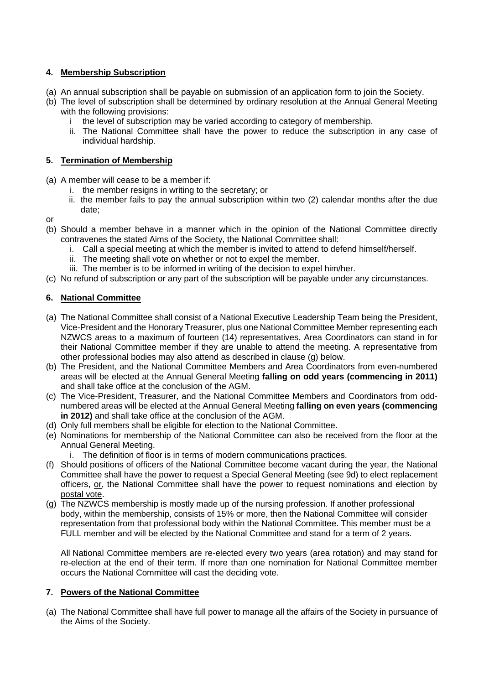# **4. Membership Subscription**

- (a) An annual subscription shall be payable on submission of an application form to join the Society.
- (b) The level of subscription shall be determined by ordinary resolution at the Annual General Meeting with the following provisions:
	- i the level of subscription may be varied according to category of membership.
	- ii. The National Committee shall have the power to reduce the subscription in any case of individual hardship.

# **5. Termination of Membership**

- (a) A member will cease to be a member if:
	- i. the member resigns in writing to the secretary; or
	- ii. the member fails to pay the annual subscription within two (2) calendar months after the due date;
- or
- (b) Should a member behave in a manner which in the opinion of the National Committee directly contravenes the stated Aims of the Society, the National Committee shall:
	- i. Call a special meeting at which the member is invited to attend to defend himself/herself.
	- ii. The meeting shall vote on whether or not to expel the member.
	- iii. The member is to be informed in writing of the decision to expel him/her.
- (c) No refund of subscription or any part of the subscription will be payable under any circumstances.

# **6. National Committee**

- (a) The National Committee shall consist of a National Executive Leadership Team being the President, Vice-President and the Honorary Treasurer, plus one National Committee Member representing each NZWCS areas to a maximum of fourteen (14) representatives, Area Coordinators can stand in for their National Committee member if they are unable to attend the meeting. A representative from other professional bodies may also attend as described in clause (g) below.
- (b) The President, and the National Committee Members and Area Coordinators from even-numbered areas will be elected at the Annual General Meeting **falling on odd years (commencing in 2011)** and shall take office at the conclusion of the AGM.
- (c) The Vice-President, Treasurer, and the National Committee Members and Coordinators from oddnumbered areas will be elected at the Annual General Meeting **falling on even years (commencing in 2012)** and shall take office at the conclusion of the AGM.
- (d) Only full members shall be eligible for election to the National Committee.
- (e) Nominations for membership of the National Committee can also be received from the floor at the Annual General Meeting.
	- i. The definition of floor is in terms of modern communications practices.
- (f) Should positions of officers of the National Committee become vacant during the year, the National Committee shall have the power to request a Special General Meeting (see 9d) to elect replacement officers, or, the National Committee shall have the power to request nominations and election by postal vote.
- (g) The NZWCS membership is mostly made up of the nursing profession. If another professional body, within the membership, consists of 15% or more, then the National Committee will consider representation from that professional body within the National Committee. This member must be a FULL member and will be elected by the National Committee and stand for a term of 2 years.

All National Committee members are re-elected every two years (area rotation) and may stand for re-election at the end of their term. If more than one nomination for National Committee member occurs the National Committee will cast the deciding vote.

# **7. Powers of the National Committee**

(a) The National Committee shall have full power to manage all the affairs of the Society in pursuance of the Aims of the Society.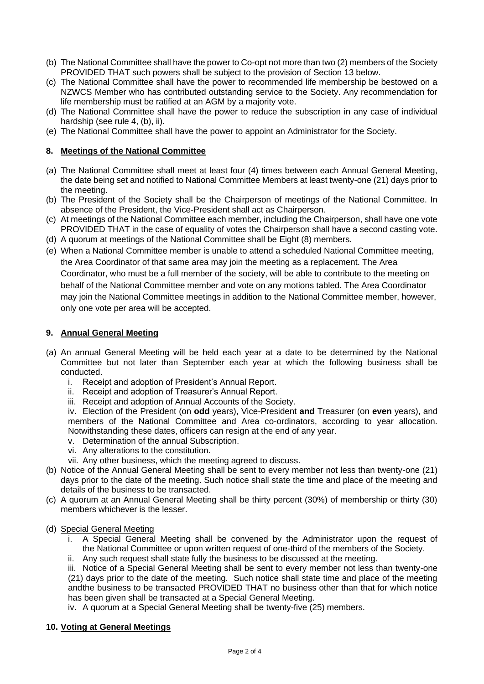- (b) The National Committee shall have the power to Co-opt not more than two (2) members of the Society PROVIDED THAT such powers shall be subject to the provision of Section 13 below.
- (c) The National Committee shall have the power to recommended life membership be bestowed on a NZWCS Member who has contributed outstanding service to the Society. Any recommendation for life membership must be ratified at an AGM by a majority vote.
- (d) The National Committee shall have the power to reduce the subscription in any case of individual hardship (see rule 4, (b), ii).
- (e) The National Committee shall have the power to appoint an Administrator for the Society.

### **8. Meetings of the National Committee**

- (a) The National Committee shall meet at least four (4) times between each Annual General Meeting, the date being set and notified to National Committee Members at least twenty-one (21) days prior to the meeting.
- (b) The President of the Society shall be the Chairperson of meetings of the National Committee. In absence of the President, the Vice-President shall act as Chairperson.
- (c) At meetings of the National Committee each member, including the Chairperson, shall have one vote PROVIDED THAT in the case of equality of votes the Chairperson shall have a second casting vote. (d) A quorum at meetings of the National Committee shall be Eight (8) members.
- (e) When a National Committee member is unable to attend a scheduled National Committee meeting, the Area Coordinator of that same area may join the meeting as a replacement. The Area Coordinator, who must be a full member of the society, will be able to contribute to the meeting on behalf of the National Committee member and vote on any motions tabled. The Area Coordinator may join the National Committee meetings in addition to the National Committee member, however, only one vote per area will be accepted.

### **9. Annual General Meeting**

- (a) An annual General Meeting will be held each year at a date to be determined by the National Committee but not later than September each year at which the following business shall be conducted.
	- i. Receipt and adoption of President's Annual Report.
	- ii. Receipt and adoption of Treasurer's Annual Report.
	- iii. Receipt and adoption of Annual Accounts of the Society.

iv. Election of the President (on **odd** years), Vice-President **and** Treasurer (on **even** years), and members of the National Committee and Area co-ordinators, according to year allocation. Notwithstanding these dates, officers can resign at the end of any year.

- v. Determination of the annual Subscription.
- vi. Any alterations to the constitution.
- vii. Any other business, which the meeting agreed to discuss.
- (b) Notice of the Annual General Meeting shall be sent to every member not less than twenty-one (21) days prior to the date of the meeting. Such notice shall state the time and place of the meeting and details of the business to be transacted.
- (c) A quorum at an Annual General Meeting shall be thirty percent (30%) of membership or thirty (30) members whichever is the lesser.
- (d) Special General Meeting
	- i. A Special General Meeting shall be convened by the Administrator upon the request of the National Committee or upon written request of one-third of the members of the Society.
	- ii. Any such request shall state fully the business to be discussed at the meeting.

iii. Notice of a Special General Meeting shall be sent to every member not less than twenty-one (21) days prior to the date of the meeting. Such notice shall state time and place of the meeting andthe business to be transacted PROVIDED THAT no business other than that for which notice has been given shall be transacted at a Special General Meeting.

iv. A quorum at a Special General Meeting shall be twenty-five (25) members.

#### **10. Voting at General Meetings**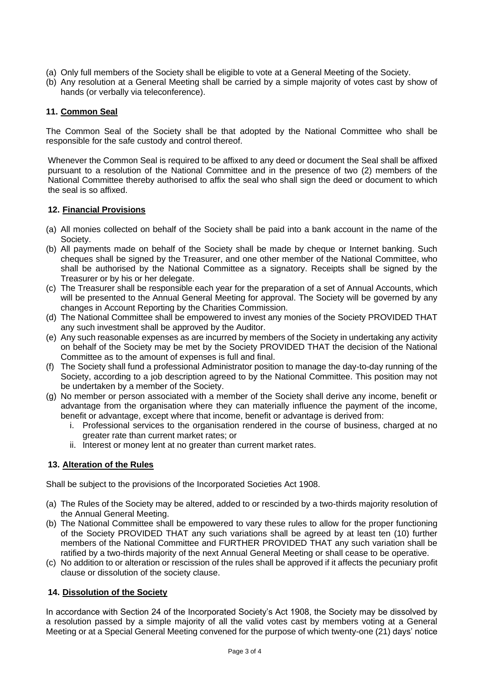- (a) Only full members of the Society shall be eligible to vote at a General Meeting of the Society.
- (b) Any resolution at a General Meeting shall be carried by a simple majority of votes cast by show of hands (or verbally via teleconference).

# **11. Common Seal**

The Common Seal of the Society shall be that adopted by the National Committee who shall be responsible for the safe custody and control thereof.

Whenever the Common Seal is required to be affixed to any deed or document the Seal shall be affixed pursuant to a resolution of the National Committee and in the presence of two (2) members of the National Committee thereby authorised to affix the seal who shall sign the deed or document to which the seal is so affixed.

### **12. Financial Provisions**

- (a) All monies collected on behalf of the Society shall be paid into a bank account in the name of the Society.
- (b) All payments made on behalf of the Society shall be made by cheque or Internet banking. Such cheques shall be signed by the Treasurer, and one other member of the National Committee, who shall be authorised by the National Committee as a signatory. Receipts shall be signed by the Treasurer or by his or her delegate.
- (c) The Treasurer shall be responsible each year for the preparation of a set of Annual Accounts, which will be presented to the Annual General Meeting for approval. The Society will be governed by any changes in Account Reporting by the Charities Commission.
- (d) The National Committee shall be empowered to invest any monies of the Society PROVIDED THAT any such investment shall be approved by the Auditor.
- (e) Any such reasonable expenses as are incurred by members of the Society in undertaking any activity on behalf of the Society may be met by the Society PROVIDED THAT the decision of the National Committee as to the amount of expenses is full and final.
- (f) The Society shall fund a professional Administrator position to manage the day-to-day running of the Society, according to a job description agreed to by the National Committee. This position may not be undertaken by a member of the Society.
- (g) No member or person associated with a member of the Society shall derive any income, benefit or advantage from the organisation where they can materially influence the payment of the income, benefit or advantage, except where that income, benefit or advantage is derived from:
	- i. Professional services to the organisation rendered in the course of business, charged at no greater rate than current market rates; or
	- ii. Interest or money lent at no greater than current market rates.

# **13. Alteration of the Rules**

Shall be subject to the provisions of the Incorporated Societies Act 1908.

- (a) The Rules of the Society may be altered, added to or rescinded by a two-thirds majority resolution of the Annual General Meeting.
- (b) The National Committee shall be empowered to vary these rules to allow for the proper functioning of the Society PROVIDED THAT any such variations shall be agreed by at least ten (10) further members of the National Committee and FURTHER PROVIDED THAT any such variation shall be ratified by a two-thirds majority of the next Annual General Meeting or shall cease to be operative.
- (c) No addition to or alteration or rescission of the rules shall be approved if it affects the pecuniary profit clause or dissolution of the society clause.

# **14. Dissolution of the Society**

In accordance with Section 24 of the Incorporated Society's Act 1908, the Society may be dissolved by a resolution passed by a simple majority of all the valid votes cast by members voting at a General Meeting or at a Special General Meeting convened for the purpose of which twenty-one (21) days' notice